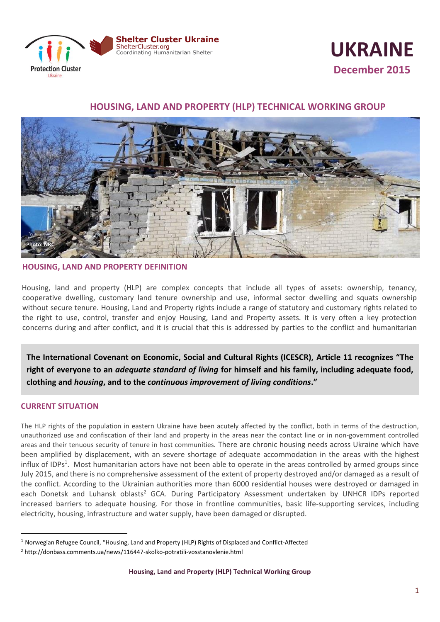



# **HOUSING, LAND AND PROPERTY (HLP) TECHNICAL WORKING GROUP**



## **HOUSING, LAND AND PROPERTY DEFINITION**

 Housing, land and property (HLP) are complex concepts that include all types of assets: ownership, tenancy, cooperative dwelling, customary land tenure ownership and use, informal sector dwelling and squats ownership without secure tenure. Housing, Land and Property rights include a range of statutory and customary rights related to the right to use, control, transfer and enjoy Housing, Land and Property assets. It is very often a key protection concerns during and after conflict, and it is crucial that this is addressed by parties to the conflict and humanitarian

right of everyone to an *adequate standard of living* for himself and his family, including adequate food, **The International Covenant on Economic, Social and Cultural Rights (ICESCR), Article 11 recognizes "The clothing and** *housing***, and to the** *continuous improvement of living conditions***."**

## **CURRENT SITUATION**

 $\ddot{\phantom{a}}$ 

The HLP rights of the population in eastern Ukraine have been acutely affected by the conflict, both in terms of the destruction, unauthorized use and confiscation of their land and property in the areas near the contact line or in non-government controlled areas and their tenuous security of tenure in host communities. There are chronic housing needs across Ukraine which have been amplified by displacement, with an severe shortage of adequate accommodation in the areas with the highest influx of IDPs<sup>1</sup>. Most humanitarian actors have not been able to operate in the areas controlled by armed groups since July 2015, and there is no comprehensive assessment of the extent of property destroyed and/or damaged as a result of the conflict. According to the Ukrainian authorities more than 6000 residential houses were destroyed or damaged in each Donetsk and Luhansk oblasts<sup>2</sup> GCA. During Participatory Assessment undertaken by UNHCR IDPs reported increased barriers to adequate housing. For those in frontline communities, basic life-supporting services, including electricity, housing, infrastructure and water supply, have been damaged or disrupted.

<sup>1</sup> Norwegian Refugee Council, "Housing, Land and Property (HLP) Rights of Displaced and Conflict-Affected

<sup>2</sup> http://donbass.comments.ua/news/116447-skolko-potratili-vosstanovlenie.html